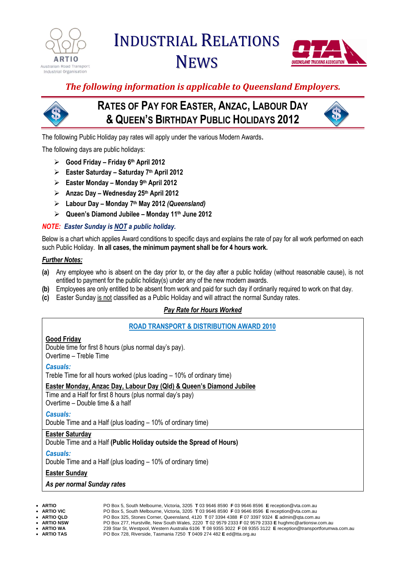

# INDUSTRIAL RELATIONS **NEWS**



*The following information is applicable to Queensland Employers.*

# **RATES OF PAY FOR EASTER, ANZAC, LABOUR DAY & QUEEN'S BIRTHDAY PUBLIC HOLIDAYS 2012**



The following Public Holiday pay rates will apply under the various Modern Awards**.**

The following days are public holidays:

- **Good Friday – Friday 6 th April 2012**
- **Easter Saturday – Saturday 7 th April 2012**
- **Easter Monday – Monday 9 th April 2012**
- **Anzac Day – Wednesday 25th April 2012**
- **Labour Day – Monday 7 th May 2012** *(Queensland)*
- **Queen's Diamond Jubilee – Monday 11th June 2012**

# *NOTE: Easter Sunday is NOT a public holiday.*

Below is a chart which applies Award conditions to specific days and explains the rate of pay for all work performed on each such Public Holiday. **In all cases, the minimum payment shall be for 4 hours work.**

#### *Further Notes:*

- **(a)** Any employee who is absent on the day prior to, or the day after a public holiday (without reasonable cause), is not entitled to payment for the public holiday(s) under any of the new modern awards.
- **(b)** Employees are only entitled to be absent from work and paid for such day if ordinarily required to work on that day.
- **(c)** Easter Sunday is not classified as a Public Holiday and will attract the normal Sunday rates.

# *Pay Rate for Hours Worked*

# **ROAD TRANSPORT & DISTRIBUTION AWARD 2010**

#### **Good Friday**

Double time for first 8 hours (plus normal day's pay). Overtime – Treble Time

#### *Casuals:*

Treble Time for all hours worked (plus loading – 10% of ordinary time)

#### **Easter Monday, Anzac Day, Labour Day (Qld) & Queen's Diamond Jubilee**

Time and a Half for first 8 hours (plus normal day's pay) Overtime – Double time & a half

# *Casuals:*

Double Time and a Half (plus loading – 10% of ordinary time)

#### **Easter Saturday**

#### Double Time and a Half **(Public Holiday outside the Spread of Hours)**

#### *Casuals:*

Double Time and a Half (plus loading – 10% of ordinary time)

#### **Easter Sunday**

*As per normal Sunday rates*

| ۰, |
|----|
|    |

 **ARTIO** PO Box 5, South Melbourne, Victoria, 3205 **T** 03 9646 8590 **F** 03 9646 8596 **E** reception@vta.com.au **ARTIO VIC** PO Box 5, South Melbourne, Victoria, 3205 **T** 03 9646 8590 **F** 03 9646 8596 **E** reception@vta.com.au **ARTIO QLD** PO Box 325, Stones Corner, Queensland, 4120 **T** 07 3394 4388 **F** 07 3397 9324 **E** admin@qta.com.au **ARTIO NSW** PO Box 277, Hurstville, New South Wales, 2220 **T** 02 9579 2333 **F** 02 9579 2333 **E** hughmc@artionsw.com.au **ARTIO WA** 239 Star St, Westpool, Western Australia 6106 **T** 08 9355 3022 **F** 08 9355 3122 **E** reception@transportforumwa.com.au **ARTIO TAS** PO Box 728, Riverside, Tasmania 7250 **T** 0409 274 482 **E** ed@tta.org.au